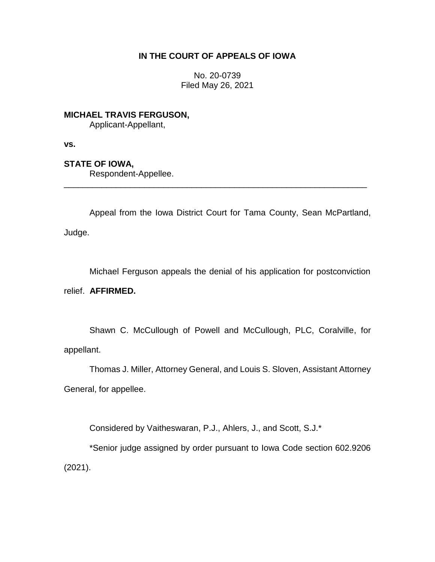## **IN THE COURT OF APPEALS OF IOWA**

No. 20-0739 Filed May 26, 2021

**MICHAEL TRAVIS FERGUSON,** Applicant-Appellant,

**vs.**

## **STATE OF IOWA,**

Respondent-Appellee.

Appeal from the Iowa District Court for Tama County, Sean McPartland, Judge.

\_\_\_\_\_\_\_\_\_\_\_\_\_\_\_\_\_\_\_\_\_\_\_\_\_\_\_\_\_\_\_\_\_\_\_\_\_\_\_\_\_\_\_\_\_\_\_\_\_\_\_\_\_\_\_\_\_\_\_\_\_\_\_\_

Michael Ferguson appeals the denial of his application for postconviction relief. **AFFIRMED.**

Shawn C. McCullough of Powell and McCullough, PLC, Coralville, for appellant.

Thomas J. Miller, Attorney General, and Louis S. Sloven, Assistant Attorney General, for appellee.

Considered by Vaitheswaran, P.J., Ahlers, J., and Scott, S.J.\*

\*Senior judge assigned by order pursuant to Iowa Code section 602.9206 (2021).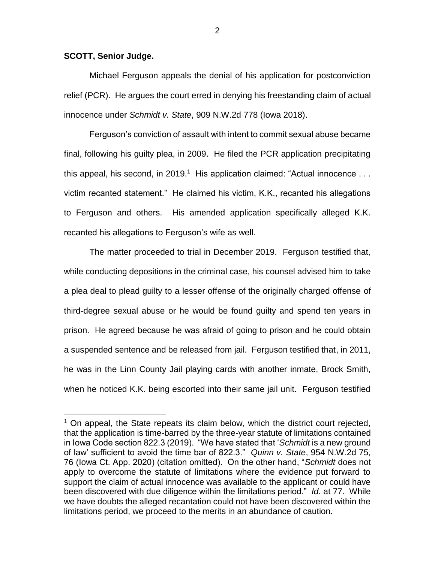## **SCOTT, Senior Judge.**

 $\overline{a}$ 

Michael Ferguson appeals the denial of his application for postconviction relief (PCR). He argues the court erred in denying his freestanding claim of actual innocence under *Schmidt v. State*, 909 N.W.2d 778 (Iowa 2018).

Ferguson's conviction of assault with intent to commit sexual abuse became final, following his guilty plea, in 2009. He filed the PCR application precipitating this appeal, his second, in 2019.<sup>1</sup> His application claimed: "Actual innocence  $\dots$ victim recanted statement." He claimed his victim, K.K., recanted his allegations to Ferguson and others. His amended application specifically alleged K.K. recanted his allegations to Ferguson's wife as well.

The matter proceeded to trial in December 2019. Ferguson testified that, while conducting depositions in the criminal case, his counsel advised him to take a plea deal to plead guilty to a lesser offense of the originally charged offense of third-degree sexual abuse or he would be found guilty and spend ten years in prison. He agreed because he was afraid of going to prison and he could obtain a suspended sentence and be released from jail. Ferguson testified that, in 2011, he was in the Linn County Jail playing cards with another inmate, Brock Smith, when he noticed K.K. being escorted into their same jail unit. Ferguson testified

2

<sup>&</sup>lt;sup>1</sup> On appeal, the State repeats its claim below, which the district court rejected, that the application is time-barred by the three-year statute of limitations contained in Iowa Code section 822.3 (2019). "We have stated that '*Schmidt* is a new ground of law' sufficient to avoid the time bar of 822.3." *Quinn v. State*, 954 N.W.2d 75, 76 (Iowa Ct. App. 2020) (citation omitted). On the other hand, "*Schmidt* does not apply to overcome the statute of limitations where the evidence put forward to support the claim of actual innocence was available to the applicant or could have been discovered with due diligence within the limitations period." *Id.* at 77. While we have doubts the alleged recantation could not have been discovered within the limitations period, we proceed to the merits in an abundance of caution.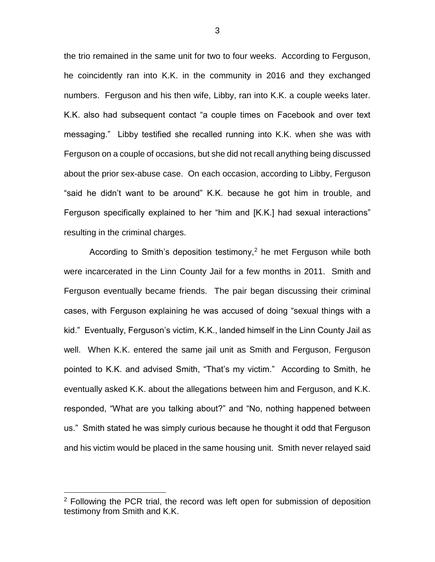the trio remained in the same unit for two to four weeks. According to Ferguson, he coincidently ran into K.K. in the community in 2016 and they exchanged numbers. Ferguson and his then wife, Libby, ran into K.K. a couple weeks later. K.K. also had subsequent contact "a couple times on Facebook and over text messaging." Libby testified she recalled running into K.K. when she was with Ferguson on a couple of occasions, but she did not recall anything being discussed about the prior sex-abuse case. On each occasion, according to Libby, Ferguson "said he didn't want to be around" K.K. because he got him in trouble, and Ferguson specifically explained to her "him and [K.K.] had sexual interactions" resulting in the criminal charges.

According to Smith's deposition testimony,<sup>2</sup> he met Ferguson while both were incarcerated in the Linn County Jail for a few months in 2011. Smith and Ferguson eventually became friends. The pair began discussing their criminal cases, with Ferguson explaining he was accused of doing "sexual things with a kid." Eventually, Ferguson's victim, K.K., landed himself in the Linn County Jail as well. When K.K. entered the same jail unit as Smith and Ferguson, Ferguson pointed to K.K. and advised Smith, "That's my victim." According to Smith, he eventually asked K.K. about the allegations between him and Ferguson, and K.K. responded, "What are you talking about?" and "No, nothing happened between us." Smith stated he was simply curious because he thought it odd that Ferguson and his victim would be placed in the same housing unit. Smith never relayed said

 $\overline{a}$ 

 $2$  Following the PCR trial, the record was left open for submission of deposition testimony from Smith and K.K.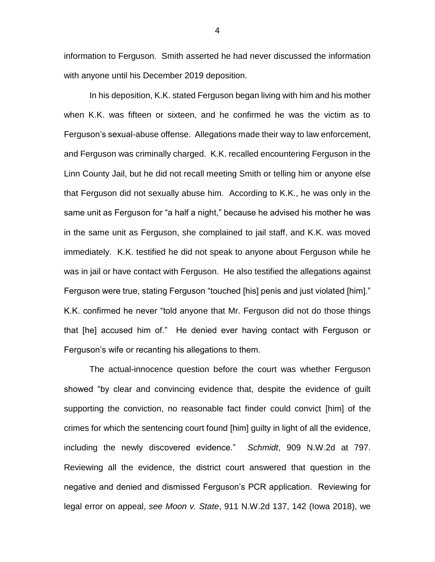information to Ferguson. Smith asserted he had never discussed the information with anyone until his December 2019 deposition.

In his deposition, K.K. stated Ferguson began living with him and his mother when K.K. was fifteen or sixteen, and he confirmed he was the victim as to Ferguson's sexual-abuse offense. Allegations made their way to law enforcement, and Ferguson was criminally charged. K.K. recalled encountering Ferguson in the Linn County Jail, but he did not recall meeting Smith or telling him or anyone else that Ferguson did not sexually abuse him. According to K.K., he was only in the same unit as Ferguson for "a half a night," because he advised his mother he was in the same unit as Ferguson, she complained to jail staff, and K.K. was moved immediately. K.K. testified he did not speak to anyone about Ferguson while he was in jail or have contact with Ferguson. He also testified the allegations against Ferguson were true, stating Ferguson "touched [his] penis and just violated [him]." K.K. confirmed he never "told anyone that Mr. Ferguson did not do those things that [he] accused him of." He denied ever having contact with Ferguson or Ferguson's wife or recanting his allegations to them.

The actual-innocence question before the court was whether Ferguson showed "by clear and convincing evidence that, despite the evidence of guilt supporting the conviction, no reasonable fact finder could convict [him] of the crimes for which the sentencing court found [him] guilty in light of all the evidence, including the newly discovered evidence." *Schmidt*, 909 N.W.2d at 797. Reviewing all the evidence, the district court answered that question in the negative and denied and dismissed Ferguson's PCR application. Reviewing for legal error on appeal, *see Moon v. State*, 911 N.W.2d 137, 142 (Iowa 2018), we

4